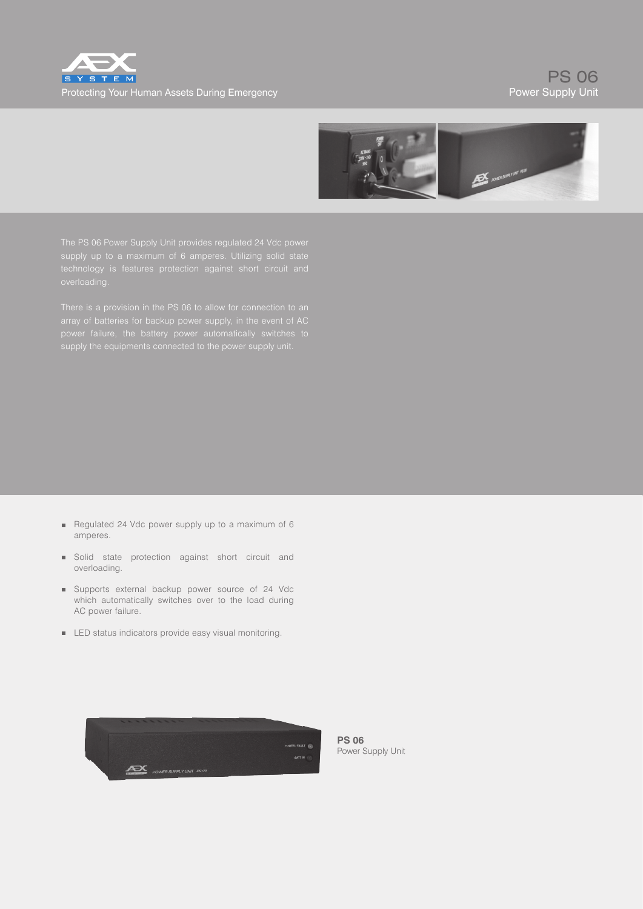



power failure, the battery power automatically switches to

- Regulated 24 Vdc power supply up to a maximum of 6 amperes.
- Solid state protection against short circuit and overloading.
- Supports external backup power source of 24 Vdc which automatically switches over to the load during AC power failure.
- **LED** status indicators provide easy visual monitoring.



**PS 06** Power Supply Unit